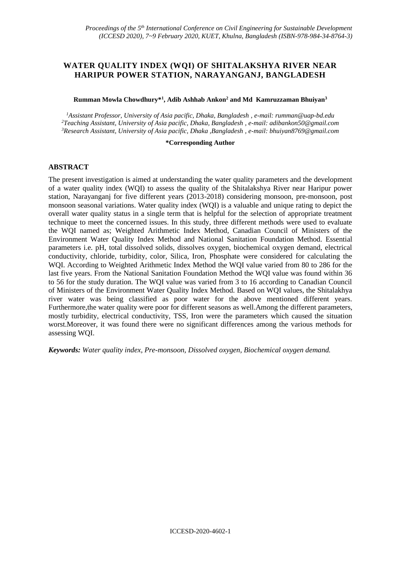# **WATER QUALITY INDEX (WQI) OF SHITALAKSHYA RIVER NEAR HARIPUR POWER STATION, NARAYANGANJ, BANGLADESH**

#### **Rumman Mowla Chowdhury\*<sup>1</sup> , Adib Ashhab Ankon<sup>2</sup> and Md Kamruzzaman Bhuiyan<sup>3</sup>**

*<sup>1</sup>Assistant Professor, University of Asia pacific, Dhaka, Bangladesh , e-mail: rumman@uap-bd.edu <sup>2</sup>Teaching Assistant, University of Asia pacific, Dhaka, Bangladesh , e-mail: adibankon50@gmail.com <sup>3</sup>Research Assistant, University of Asia pacific, Dhaka ,Bangladesh , e-mail: bhuiyan8769@gmail.com*

#### **\*Corresponding Author**

#### **ABSTRACT**

The present investigation is aimed at understanding the water quality parameters and the development of a water quality index (WQI) to assess the quality of the Shitalakshya River near Haripur power station, Narayanganj for five different years (2013-2018) considering monsoon, pre-monsoon, post monsoon seasonal variations. Water quality index (WQI) is a valuable and unique rating to depict the overall water quality status in a single term that is helpful for the selection of appropriate treatment technique to meet the concerned issues. In this study, three different methods were used to evaluate the WQI named as; Weighted Arithmetic Index Method, Canadian Council of Ministers of the Environment Water Quality Index Method and National Sanitation Foundation Method. Essential parameters i.e. pH, total dissolved solids, dissolves oxygen, biochemical oxygen demand, electrical conductivity, chloride, turbidity, color, Silica, Iron, Phosphate were considered for calculating the WQI. According to Weighted Arithmetic Index Method the WQI value varied from 80 to 286 for the last five years. From the National Sanitation Foundation Method the WQI value was found within 36 to 56 for the study duration. The WQI value was varied from 3 to 16 according to Canadian Council of Ministers of the Environment Water Quality Index Method. Based on WQI values, the Shitalakhya river water was being classified as poor water for the above mentioned different years. Furthermore,the water quality were poor for different seasons as well.Among the different parameters, mostly turbidity, electrical conductivity, TSS, Iron were the parameters which caused the situation worst.Moreover, it was found there were no significant differences among the various methods for assessing WQI.

*Keywords: Water quality index, Pre-monsoon, Dissolved oxygen, Biochemical oxygen demand.*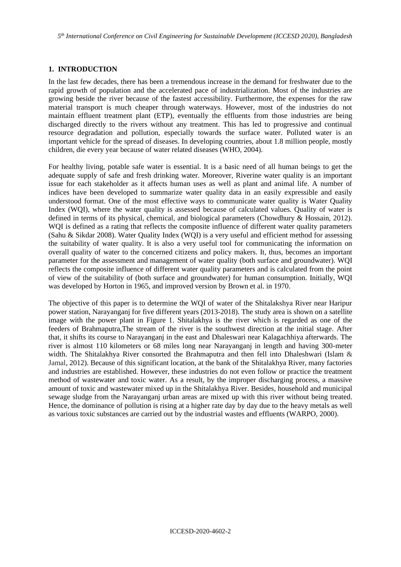*5 th International Conference on Civil Engineering for Sustainable Development (ICCESD 2020), Bangladesh*

## **1. INTRODUCTION**

In the last few decades, there has been a tremendous increase in the demand for freshwater due to the rapid growth of population and the accelerated pace of industrialization. Most of the industries are growing beside the river because of the fastest accessibility. Furthermore, the expenses for the raw material transport is much cheaper through waterways. However, most of the industries do not maintain effluent treatment plant (ETP), eventually the effluents from those industries are being discharged directly to the rivers without any treatment. This has led to progressive and continual resource degradation and pollution, especially towards the surface water. Polluted water is an important vehicle for the spread of diseases. In developing countries, about 1.8 million people, mostly children, die every year because of water related diseases (WHO, 2004).

For healthy living, potable safe water is essential. It is a basic need of all human beings to get the adequate supply of safe and fresh drinking water. Moreover, Riverine water quality is an important issue for each stakeholder as it affects human uses as well as plant and animal life. A number of indices have been developed to summarize water quality data in an easily expressible and easily understood format. One of the most effective ways to communicate water quality is Water Quality Index (WQI), where the water quality is assessed because of calculated values. Quality of water is defined in terms of its physical, chemical, and biological parameters (Chowdhury & Hossain, 2012). WOI is defined as a rating that reflects the composite influence of different water quality parameters (Sahu & Sikdar 2008). Water Quality Index (WQI) is a very useful and efficient method for assessing the suitability of water quality. It is also a very useful tool for communicating the information on overall quality of water to the concerned citizens and policy makers. It, thus, becomes an important parameter for the assessment and management of water quality (both surface and groundwater). WQI reflects the composite influence of different water quality parameters and is calculated from the point of view of the suitability of (both surface and groundwater) for human consumption. Initially, WQI was developed by Horton in 1965, and improved version by Brown et al. in 1970.

The objective of this paper is to determine the WQI of water of the Shitalakshya River near Haripur power station, Narayanganj for five different years (2013-2018). The study area is shown on a satellite image with the power plant in Figure 1. Shitalakhya is the river which is regarded as one of the feeders of Brahmaputra,The stream of the river is the southwest direction at the initial stage. After that, it shifts its course to Narayanganj in the east and Dhaleswari near Kalagachhiya afterwards. The river is almost 110 kilometers or 68 miles long near Narayanganj in length and having 300-meter width. The Shitalakhya River consorted the Brahmaputra and then fell into Dhaleshwari (Islam & Jamal, 2012). Because of this significant location, at the bank of the Shitalakhya River, many factories and industries are established. However, these industries do not even follow or practice the treatment method of wastewater and toxic water. As a result, by the improper discharging process, a massive amount of toxic and wastewater mixed up in the Shitalakhya River. Besides, household and municipal sewage sludge from the Narayanganj urban areas are mixed up with this river without being treated. Hence, the dominance of pollution is rising at a higher rate day by day due to the heavy metals as well as various toxic substances are carried out by the industrial wastes and effluents (WARPO, 2000).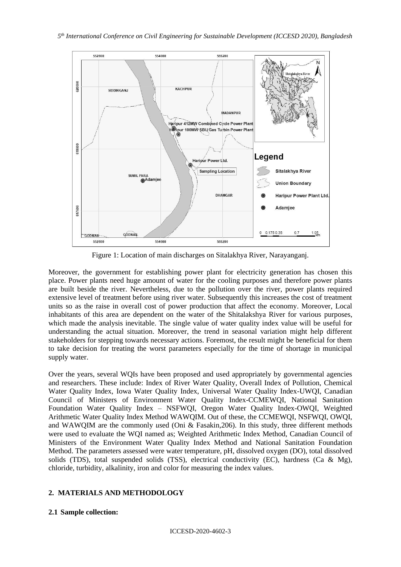

Figure 1: Location of main discharges on Sitalakhya River, Narayanganj.

Moreover, the government for establishing power plant for electricity generation has chosen this place. Power plants need huge amount of water for the cooling purposes and therefore power plants are built beside the river. Nevertheless, due to the pollution over the river, power plants required extensive level of treatment before using river water. Subsequently this increases the cost of treatment units so as the raise in overall cost of power production that affect the economy. Moreover, Local inhabitants of this area are dependent on the water of the Shitalakshya River for various purposes, which made the analysis inevitable. The single value of water quality index value will be useful for understanding the actual situation. Moreover, the trend in seasonal variation might help different stakeholders for stepping towards necessary actions. Foremost, the result might be beneficial for them to take decision for treating the worst parameters especially for the time of shortage in municipal supply water.

Over the years, several WQIs have been proposed and used appropriately by governmental agencies and researchers. These include: Index of River Water Quality, Overall Index of Pollution, Chemical Water Quality Index, Iowa Water Quality Index, Universal Water Quality Index-UWQI, Canadian Council of Ministers of Environment Water Quality Index-CCMEWQI, National Sanitation Foundation Water Quality Index – NSFWQI, Oregon Water Quality Index-OWQI, Weighted Arithmetic Water Quality Index Method WAWQIM. Out of these, the CCMEWQI, NSFWQI, OWQI, and WAWQIM are the commonly *us*ed (Oni & Fasakin,206). In this study, three different methods were used to evaluate the WQI named as; Weighted Arithmetic Index Method, Canadian Council of Ministers of the Environment Water Quality Index Method and National Sanitation Foundation Method. The parameters assessed were water temperature, pH, dissolved oxygen (DO), total dissolved solids (TDS), total suspended solids (TSS), electrical conductivity (EC), hardness (Ca & Mg), chloride, turbidity, alkalinity, iron and color for measuring the index values.

# **2. MATERIALS AND METHODOLOGY**

#### **2.1 Sample collection:**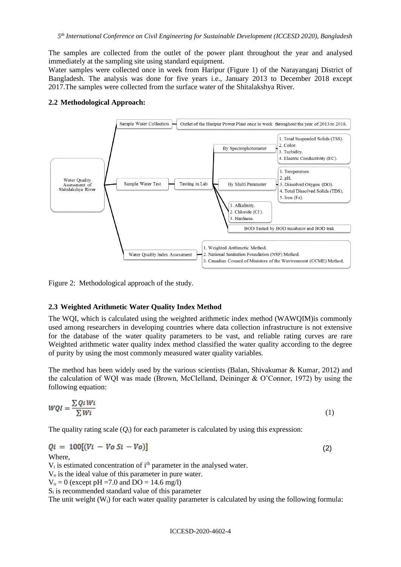The samples are collected from the outlet of the power plant throughout the year and analysed immediately at the sampling site using standard equipment.

Water samples were collected once in week from Haripur (Figure 1) of the Narayanganj District of Bangladesh. The analysis was done for five years i.e., January 2013 to December 2018 except 2017.The samples were collected from the surface water of the Shitalakshya River.

#### **2.2 Methodological Approach:**



Figure 2: Methodological approach of the study.

#### **2.3 Weighted Arithmetic Water Quality Index Method**

The WQI, which is calculated using the weighted arithmetic index method (WAWQIM)is commonly used among researchers in developing countries where data collection infrastructure is not extensive for the database of the water quality parameters to be vast, and reliable rating curves are rare Weighted arithmetic water quality index method classified the water quality according to the degree of purity by using the most commonly measured water quality variables.

The method has been widely used by the various scientists (Balan, Shivakumar & Kumar, 2012) and the calculation of WQI was made (Brown, McClelland, Deininger & O'Connor, 1972) by using the following equation:

$$
WQI = \frac{\sum QiWi}{\sum Wi} \tag{1}
$$

The quality rating scale  $(Q_i)$  for each parameter is calculated by using this expression:

$$
Qi = 100[(Vi - Vo Si - Vo)] \qquad (2)
$$

Where,

 $V_i$  is estimated concentration of  $i<sup>th</sup>$  parameter in the analysed water.

V<sup>o</sup> is the ideal value of this parameter in pure water.

 $V_0 = 0$  (except pH = 7.0 and DO = 14.6 mg/l)

 $S_i$  is recommended standard value of this parameter

The unit weight  $(W_i)$  for each water quality parameter is calculated by using the following formula: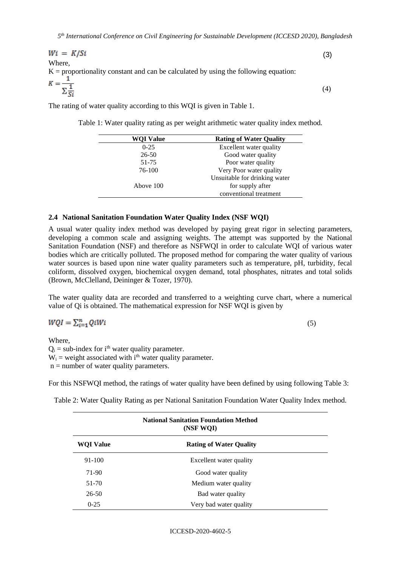$(3)$ Where, K = proportionality constant and can be calculated by using the following equation:<br> $K = \frac{1}{\sum_{i=1}^{n} S_i}$ (4)

The rating of water quality according to this WQI is given in Table 1.

Table 1: Water quality rating as per weight arithmetic water quality index method.

| <b>WQI Value</b> | <b>Rating of Water Quality</b> |
|------------------|--------------------------------|
| $0-25$           | Excellent water quality        |
| 26-50            | Good water quality             |
| 51-75            | Poor water quality             |
| 76-100           | Very Poor water quality        |
|                  | Unsuitable for drinking water  |
| Above 100        | for supply after               |
|                  | conventional treatment         |
|                  |                                |

#### **2.4 National Sanitation Foundation Water Quality Index (NSF WQI)**

A usual water quality index method was developed by paying great rigor in selecting parameters, developing a common scale and assigning weights. The attempt was supported by the National Sanitation Foundation (NSF) and therefore as NSFWQI in order to calculate WQI of various water bodies which are critically polluted. The proposed method for comparing the water quality of various water sources is based upon nine water quality parameters such as temperature, pH, turbidity, fecal coliform, dissolved oxygen, biochemical oxygen demand, total phosphates, nitrates and total solids (Brown, McClelland, Deininger & Tozer, 1970).

The water quality data are recorded and transferred to a weighting curve chart, where a numerical value of Qi is obtained. The mathematical expression for NSF WQI is given by

$$
WQI=\textstyle\sum_{i=1}^nQiWi
$$

(5)

Where,  $Q_i$  = sub-index for i<sup>th</sup> water quality parameter.  $W_i$  = weight associated with i<sup>th</sup> water quality parameter.  $n =$  number of water quality parameters.

For this NSFWQI method, the ratings of water quality have been defined by using following Table 3:

Table 2: Water Quality Rating as per National Sanitation Foundation Water Quality Index method.

| <b>National Sanitation Foundation Method</b><br>(NSF WQI) |                                |  |  |  |  |  |  |
|-----------------------------------------------------------|--------------------------------|--|--|--|--|--|--|
| <b>WOI Value</b>                                          | <b>Rating of Water Quality</b> |  |  |  |  |  |  |
| 91-100                                                    | Excellent water quality        |  |  |  |  |  |  |
| 71-90                                                     | Good water quality             |  |  |  |  |  |  |
| $51 - 70$                                                 | Medium water quality           |  |  |  |  |  |  |
| 26-50                                                     | Bad water quality              |  |  |  |  |  |  |
| $0 - 25$                                                  | Very bad water quality         |  |  |  |  |  |  |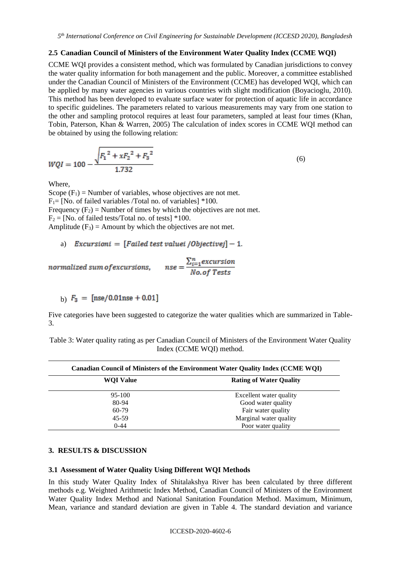#### **2.5 Canadian Council of Ministers of the Environment Water Quality Index (CCME WQI)**

CCME WQI provides a consistent method, which was formulated by Canadian jurisdictions to convey the water quality information for both management and the public. Moreover, a committee established under the Canadian Council of Ministers of the Environment (CCME) has developed WQI, which can be applied by many water agencies in various countries with slight modification (Boyacioglu, 2010). This method has been developed to evaluate surface water for protection of aquatic life in accordance to specific guidelines. The parameters related to various measurements may vary from one station to the other and sampling protocol requires at least four parameters, sampled at least four times (Khan, Tobin, Paterson, Khan & Warren, 2005) The calculation of index scores in CCME WQI method can be obtained by using the following relation:

$$
WQI = 100 - \frac{\sqrt{F_1^2 + xF_2^2 + F_3^2}}{1.732}
$$
 (6)

Where,

Scope  $(F_1)$  = Number of variables, whose objectives are not met.  $F_1$ = [No. of failed variables /Total no. of variables] \*100. Frequency  $(F_2)$  = Number of times by which the objectives are not met.  $F_2 = [No. of failed tests/Total no. of tests] *100.$ Amplitude  $(F_3)$  = Amount by which the objectives are not met.

```
a) Excursioni = [Failed test valuei / Objectivej] - 1.
```

$$
normalized sum of excursions, \qquad nse = \frac{\sum_{i=1}^{n} excursion}{No. of Tests}
$$

b)  $F_3 =$  [nse/0.01nse + 0.01]

Five categories have been suggested to categorize the water qualities which are summarized in Table-3.

Table 3: Water quality rating as per Canadian Council of Ministers of the Environment Water Quality Index (CCME WQI) method.

| Canadian Council of Ministers of the Environment Water Quality Index (CCME WQI) |                                |  |  |  |  |  |
|---------------------------------------------------------------------------------|--------------------------------|--|--|--|--|--|
| <b>WOI Value</b>                                                                | <b>Rating of Water Quality</b> |  |  |  |  |  |
| $95-100$                                                                        | Excellent water quality        |  |  |  |  |  |
| 80-94                                                                           | Good water quality             |  |  |  |  |  |
| 60-79                                                                           | Fair water quality             |  |  |  |  |  |
| 45-59                                                                           | Marginal water quality         |  |  |  |  |  |
| $0 - 44$                                                                        | Poor water quality             |  |  |  |  |  |

#### **3. RESULTS & DISCUSSION**

#### **3.1 Assessment of Water Quality Using Different WQI Methods**

In this study Water Quality Index of Shitalakshya River has been calculated by three different methods e.g. Weighted Arithmetic Index Method, Canadian Council of Ministers of the Environment Water Quality Index Method and National Sanitation Foundation Method. Maximum, Minimum, Mean, variance and standard deviation are given in Table 4. The standard deviation and variance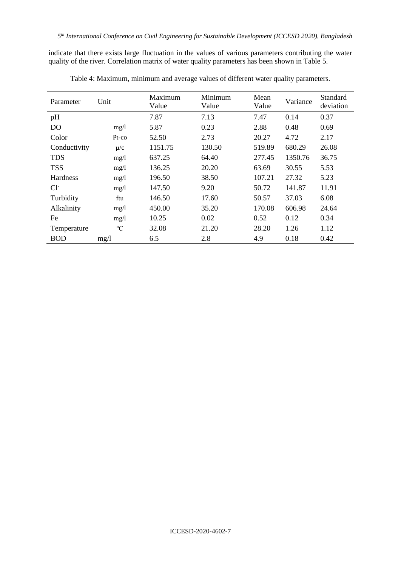indicate that there exists large fluctuation in the values of various parameters contributing the water quality of the river. Correlation matrix of water quality parameters has been shown in Table 5.

| Parameter      | Unit            | Maximum<br>Value | Minimum<br>Value | Mean<br>Value | Variance | Standard<br>deviation |
|----------------|-----------------|------------------|------------------|---------------|----------|-----------------------|
| pH             |                 | 7.87             | 7.13             | 7.47          | 0.14     | 0.37                  |
| D <sub>O</sub> | mg/1            | 5.87             | 0.23             | 2.88          | 0.48     | 0.69                  |
| Color          | $Pt$ -co        | 52.50            | 2.73             | 20.27         | 4.72     | 2.17                  |
| Conductivity   | $\mu/c$         | 1151.75          | 130.50           | 519.89        | 680.29   | 26.08                 |
| <b>TDS</b>     | mg/1            | 637.25           | 64.40            | 277.45        | 1350.76  | 36.75                 |
| <b>TSS</b>     | mg/1            | 136.25           | 20.20            | 63.69         | 30.55    | 5.53                  |
| Hardness       | mg/1            | 196.50           | 38.50            | 107.21        | 27.32    | 5.23                  |
| $Cl^-$         | mg/1            | 147.50           | 9.20             | 50.72         | 141.87   | 11.91                 |
| Turbidity      | ftu             | 146.50           | 17.60            | 50.57         | 37.03    | 6.08                  |
| Alkalinity     | mg/1            | 450.00           | 35.20            | 170.08        | 606.98   | 24.64                 |
| Fe             | mg/1            | 10.25            | 0.02             | 0.52          | 0.12     | 0.34                  |
| Temperature    | $\rm ^{\circ}C$ | 32.08            | 21.20            | 28.20         | 1.26     | 1.12                  |
| <b>BOD</b>     | mg/l            | 6.5              | 2.8              | 4.9           | 0.18     | 0.42                  |

Table 4: Maximum, minimum and average values of different water quality parameters.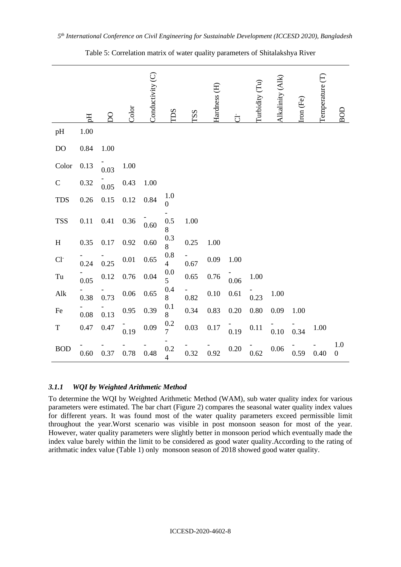|                     | E    | $\Omega$ | Color    | Conductivity (C) | TDS                       | TSS  | Hardness <sub>(H)</sub> | $\overline{\mathbf{C}}$ | Turbidity (Tu) | Alkalinity (Alk) | Iron (Fe) | Temperature (T) | $\frac{1}{2}$           |
|---------------------|------|----------|----------|------------------|---------------------------|------|-------------------------|-------------------------|----------------|------------------|-----------|-----------------|-------------------------|
| pH                  | 1.00 |          |          |                  |                           |      |                         |                         |                |                  |           |                 |                         |
| DO                  | 0.84 | 1.00     |          |                  |                           |      |                         |                         |                |                  |           |                 |                         |
| Color               | 0.13 | 0.03     | 1.00     |                  |                           |      |                         |                         |                |                  |           |                 |                         |
| $\mathbf C$         | 0.32 | 0.05     | 0.43     | 1.00             |                           |      |                         |                         |                |                  |           |                 |                         |
| <b>TDS</b>          | 0.26 | $0.15\,$ | 0.12     | 0.84             | 1.0<br>$\boldsymbol{0}$   |      |                         |                         |                |                  |           |                 |                         |
| <b>TSS</b>          | 0.11 | 0.41     | 0.36     | 0.60             | 0.5<br>8                  | 1.00 |                         |                         |                |                  |           |                 |                         |
| H                   | 0.35 | $0.17\,$ | 0.92     | 0.60             | 0.3<br>8                  | 0.25 | 1.00                    |                         |                |                  |           |                 |                         |
| $Cl-$               | 0.24 | 0.25     | $0.01\,$ | $0.65\,$         | $0.8\,$<br>4              | 0.67 | 0.09                    | 1.00                    |                |                  |           |                 |                         |
| $\operatorname{Tu}$ | 0.05 | 0.12     | 0.76     | 0.04             | 0.0<br>5                  | 0.65 | 0.76                    | 0.06                    | 1.00           |                  |           |                 |                         |
| Alk                 | 0.38 | 0.73     | $0.06\,$ | $0.65\,$         | 0.4<br>8                  | 0.82 | 0.10                    | 0.61                    | 0.23           | 1.00             |           |                 |                         |
| Fe                  | 0.08 | 0.13     | 0.95     | 0.39             | 0.1<br>8                  | 0.34 | 0.83                    | 0.20                    | 0.80           | 0.09             | 1.00      |                 |                         |
| T                   | 0.47 | 0.47     | 0.19     | $0.09\,$         | $\frac{0.2}{7}$           | 0.03 | $0.17\,$                | 0.19                    | 0.11           | 0.10             | 0.34      | 1.00            |                         |
| <b>BOD</b>          | 0.60 | 0.37     | 0.78     | 0.48             | $0.2\,$<br>$\overline{4}$ | 0.32 | 0.92                    | 0.20                    | 0.62           | 0.06             | 0.59      | 0.40            | 1.0<br>$\boldsymbol{0}$ |

Table 5: Correlation matrix of water quality parameters of Shitalakshya River

#### *3.1.1 WQI by Weighted Arithmetic Method*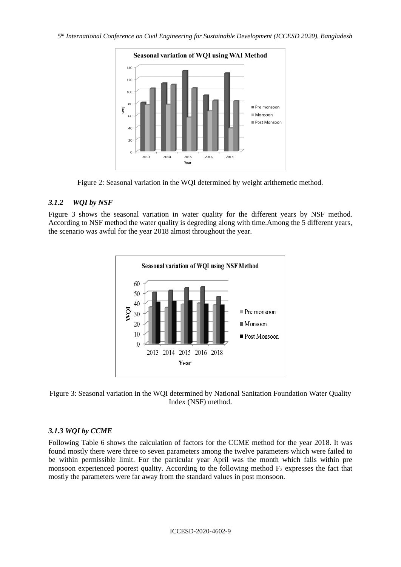

Figure 2: Seasonal variation in the WQI determined by weight arithemetic method.

#### *3.1.2 WQI by NSF*

Figure 3 shows the seasonal variation in water quality for the different years by NSF method. According to NSF method the water quality is degreding along with time.Among the 5 different years, the scenario was awful for the year 2018 almost throughout the year.



Figure 3: Seasonal variation in the WQI determined by National Sanitation Foundation Water Quality Index (NSF) method.

#### *3.1.3 WQI by CCME*

Following Table 6 shows the calculation of factors for the CCME method for the year 2018. It was found mostly there were three to seven parameters among the twelve parameters which were failed to be within permissible limit. For the particular year April was the month which falls within pre monsoon experienced poorest quality. According to the following method  $F_2$  expresses the fact that mostly the parameters were far away from the standard values in post monsoon.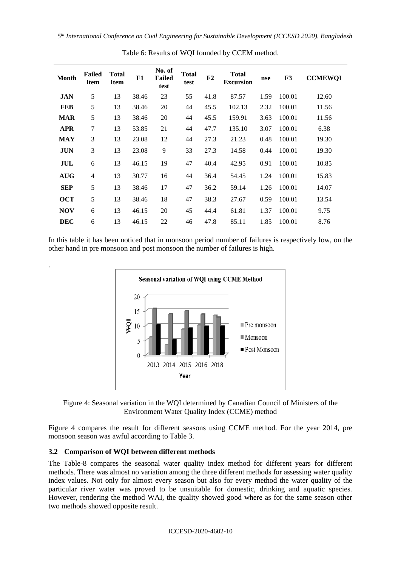| <b>Month</b> | <b>Failed</b><br><b>Item</b> | <b>Total</b><br><b>Item</b> | F1    | No. of<br><b>Failed</b><br>test | <b>Total</b><br>test | F2   | <b>Total</b><br><b>Excursion</b> | nse  | F3     | <b>CCMEWQI</b> |
|--------------|------------------------------|-----------------------------|-------|---------------------------------|----------------------|------|----------------------------------|------|--------|----------------|
| <b>JAN</b>   | 5                            | 13                          | 38.46 | 23                              | 55                   | 41.8 | 87.57                            | 1.59 | 100.01 | 12.60          |
| <b>FEB</b>   | 5                            | 13                          | 38.46 | 20                              | 44                   | 45.5 | 102.13                           | 2.32 | 100.01 | 11.56          |
| <b>MAR</b>   | 5                            | 13                          | 38.46 | 20                              | 44                   | 45.5 | 159.91                           | 3.63 | 100.01 | 11.56          |
| <b>APR</b>   | 7                            | 13                          | 53.85 | 21                              | 44                   | 47.7 | 135.10                           | 3.07 | 100.01 | 6.38           |
| <b>MAY</b>   | 3                            | 13                          | 23.08 | 12                              | 44                   | 27.3 | 21.23                            | 0.48 | 100.01 | 19.30          |
| <b>JUN</b>   | 3                            | 13                          | 23.08 | 9                               | 33                   | 27.3 | 14.58                            | 0.44 | 100.01 | 19.30          |
| JUL          | 6                            | 13                          | 46.15 | 19                              | 47                   | 40.4 | 42.95                            | 0.91 | 100.01 | 10.85          |
| <b>AUG</b>   | 4                            | 13                          | 30.77 | 16                              | 44                   | 36.4 | 54.45                            | 1.24 | 100.01 | 15.83          |
| <b>SEP</b>   | 5                            | 13                          | 38.46 | 17                              | 47                   | 36.2 | 59.14                            | 1.26 | 100.01 | 14.07          |
| <b>OCT</b>   | 5                            | 13                          | 38.46 | 18                              | 47                   | 38.3 | 27.67                            | 0.59 | 100.01 | 13.54          |
| <b>NOV</b>   | 6                            | 13                          | 46.15 | 20                              | 45                   | 44.4 | 61.81                            | 1.37 | 100.01 | 9.75           |
| <b>DEC</b>   | 6                            | 13                          | 46.15 | 22                              | 46                   | 47.8 | 85.11                            | 1.85 | 100.01 | 8.76           |

Table 6: Results of WQI founded by CCEM method.

In this table it has been noticed that in monsoon period number of failures is respectively low, on the other hand in pre monsoon and post monsoon the number of failures is high.



Figure 4: Seasonal variation in the WQI determined by Canadian Council of Ministers of the Environment Water Quality Index (CCME) method

Figure 4 compares the result for different seasons using CCME method. For the year 2014, pre monsoon season was awful according to Table 3.

# **3.2 Comparison of WQI between different methods**

.

The Table-8 compares the seasonal water quality index method for different years for different methods. There was almost no variation among the three different methods for assessing water quality index values. Not only for almost every season but also for every method the water quality of the particular river water was proved to be unsuitable for domestic, drinking and aquatic species. However, rendering the method WAI, the quality showed good where as for the same season other two methods showed opposite result.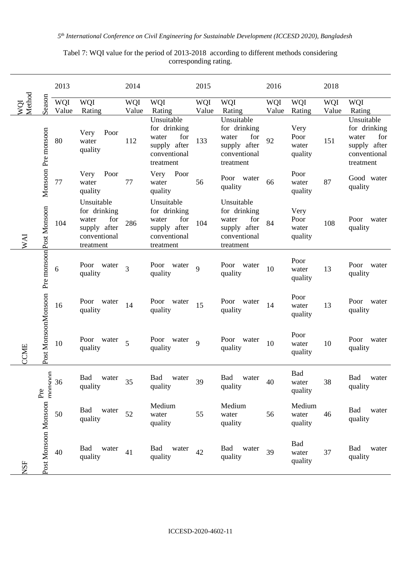Tabel 7: WQI value for the period of 2013-2018 according to different methods considering corresponding rating.

|               |                                             | 2013         |                                                                                         | 2014           |                                                                                         |                     |                                                                                         | 2016         |                                  | 2018         |                                                                                         |  |
|---------------|---------------------------------------------|--------------|-----------------------------------------------------------------------------------------|----------------|-----------------------------------------------------------------------------------------|---------------------|-----------------------------------------------------------------------------------------|--------------|----------------------------------|--------------|-----------------------------------------------------------------------------------------|--|
| WQI<br>Method | Season                                      | WQI<br>Value | WQI<br>Rating                                                                           | WQI<br>Value   | WQI<br>Rating                                                                           | <b>WQI</b><br>Value | <b>WQI</b><br>Rating                                                                    | WQI<br>Value | <b>WQI</b><br>Rating             | WQI<br>Value | WQI<br>Rating                                                                           |  |
|               | Monsoon Pre monsoon                         | 80           | Poor<br>Very<br>water<br>quality                                                        | 112            | Unsuitable<br>for drinking<br>for<br>water<br>supply after<br>conventional<br>treatment | 133                 | Unsuitable<br>for drinking<br>for<br>water<br>supply after<br>conventional<br>treatment | 92           | Very<br>Poor<br>water<br>quality | 151          | Unsuitable<br>for drinking<br>water<br>for<br>supply after<br>conventional<br>treatment |  |
|               |                                             | 77           | Poor<br>Very<br>water<br>quality                                                        | 77             | Poor<br>Very<br>water<br>quality                                                        | 56                  | Poor water<br>quality                                                                   | 66           | Poor<br>water<br>quality         | 87           | Good water<br>quality                                                                   |  |
| <b>IVM</b>    | Post MonsoonMonsoon Pre monsoonPost Monsoon | 104          | Unsuitable<br>for drinking<br>for<br>water<br>supply after<br>conventional<br>treatment | 286            | Unsuitable<br>for drinking<br>for<br>water<br>supply after<br>conventional<br>treatment | 104                 | Unsuitable<br>for drinking<br>for<br>water<br>supply after<br>conventional<br>treatment | 84           | Very<br>Poor<br>water<br>quality | 108          | Poor water<br>quality                                                                   |  |
|               |                                             | 6            | Poor water<br>quality                                                                   | $\overline{3}$ | Poor water<br>quality                                                                   | 9                   | Poor water<br>quality                                                                   | 10           | Poor<br>water<br>quality         | 13           | Poor water<br>quality                                                                   |  |
|               |                                             | 16           | Poor water<br>quality                                                                   | 14             | Poor water<br>quality                                                                   | 15                  | Poor water<br>quality                                                                   | 14           | Poor<br>water<br>quality         | 13           | Poor water<br>quality                                                                   |  |
| CCME          |                                             | 10           | Poor water<br>quality                                                                   | 5              | Poor water<br>quality                                                                   | 9                   | Poor water<br>quality                                                                   | 10           | Poor<br>water<br>quality         | 10           | Poor water<br>quality                                                                   |  |
|               | monsoon<br>Pre                              | 36           | Bad water<br>quality                                                                    | 35             | Bad water<br>quality                                                                    | 39                  | Bad water<br>quality                                                                    | 40           | Bad<br>water<br>quality          | 38           | Bad water<br>quality                                                                    |  |
|               |                                             | 50           | Bad<br>water<br>quality                                                                 | 52             | Medium<br>water<br>quality                                                              | 55                  | Medium<br>water<br>quality                                                              | 56           | Medium<br>water<br>quality       | 46           | Bad<br>water<br>quality                                                                 |  |
| NSF           | Post Monsoon Monsoon                        | 40           | Bad<br>water<br>quality                                                                 | 41             | Bad<br>water<br>quality                                                                 | 42                  | Bad<br>water<br>quality                                                                 | 39           | Bad<br>water<br>quality          | 37           | Bad<br>water<br>quality                                                                 |  |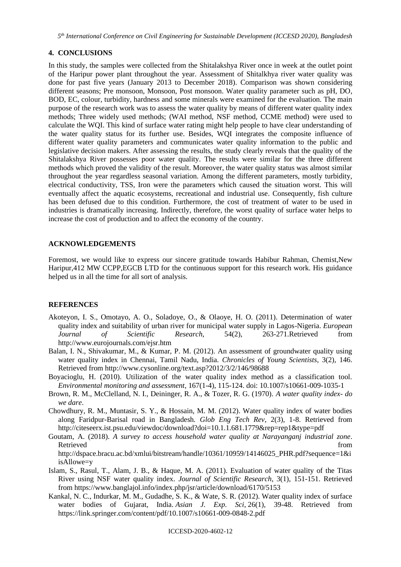*5 th International Conference on Civil Engineering for Sustainable Development (ICCESD 2020), Bangladesh*

## **4. CONCLUSIONS**

In this study, the samples were collected from the Shitalakshya River once in week at the outlet point of the Haripur power plant throughout the year. Assessment of Shitalkhya river water quality was done for past five years (January 2013 to December 2018). Comparison was shown considering different seasons; Pre monsoon, Monsoon, Post monsoon. Water quality parameter such as pH, DO, BOD, EC, colour, turbidity, hardness and some minerals were examined for the evaluation. The main purpose of the research work was to assess the water quality by means of different water quality index methods; Three widely used methods; (WAI method, NSF method, CCME method) were used to calculate the WQI. This kind of surface water rating might help people to have clear understanding of the water quality status for its further use. Besides, WQI integrates the composite influence of different water quality parameters and communicates water quality information to the public and legislative decision makers. After assessing the results, the study clearly reveals that the quality of the Shitalakshya River possesses poor water quality. The results were similar for the three different methods which proved the validity of the result. Moreover, the water quality status was almost similar throughout the year regardless seasonal variation. Among the different parameters, mostly turbidity, electrical conductivity, TSS, Iron were the parameters which caused the situation worst. This will eventually affect the aquatic ecosystems, recreational and industrial use. Consequently, fish culture has been defused due to this condition. Furthermore, the cost of treatment of water to be used in industries is dramatically increasing. Indirectly, therefore, the worst quality of surface water helps to increase the cost of production and to affect the economy of the country.

## **ACKNOWLEDGEMENTS**

Foremost, we would like to express our sincere gratitude towards Habibur Rahman, Chemist,New Haripur,412 MW CCPP,EGCB LTD for the continuous support for this research work. His guidance helped us in all the time for all sort of analysis.

#### **REFERENCES**

- Akoteyon, I. S., Omotayo, A. O., Soladoye, O., & Olaoye, H. O. (2011). Determination of water quality index and suitability of urban river for municipal water supply in Lagos-Nigeria. *European Journal of Scientific Research*, 54(2), 263-271.Retrieved from http://www.eurojournals.com/ejsr.htm
- Balan, I. N., Shivakumar, M., & Kumar, P. M. (2012). An assessment of groundwater quality using water quality index in Chennai, Tamil Nadu, India*. Chronicles of Young Scientists*, 3(2), 146. Retrieved from http://www.cysonline.org/text.asp?2012/3/2/146/98688
- Boyacioglu, H. (2010). Utilization of the water quality index method as a classification tool. *Environmental monitoring and assessment*, 167(1-4), 115-124. doi: 10.1007/s10661-009-1035-1
- Brown, R. M., McClelland, N. I., Deininger, R. A., & Tozer, R. G. (1970). *A water quality index- do we dare*.
- Chowdhury, R. M., Muntasir, S. Y., & Hossain, M. M. (2012). Water quality index of water bodies along Faridpur-Barisal road in Bangladesh*. Glob Eng Tech Rev*, 2(3), 1-8. Retrieved from http://citeseerx.ist.psu.edu/viewdoc/download?doi=10.1.1.681.1779&rep=rep1&type=pdf
- Goutam, A. (2018). *A survey to access household water quality at Narayanganj industrial zone*. Retrieved from the state of the state of the state of the state of the state of the state of the state of the state of the state of the state of the state of the state of the state of the state of the state of the state of http://dspace.bracu.ac.bd/xmlui/bitstream/handle/10361/10959/14146025\_PHR.pdf?sequence=1&i isAllowe=y
- Islam, S., Rasul, T., Alam, J. B., & Haque, M. A. (2011). Evaluation of water quality of the Titas River using NSF water quality index. *Journal of Scientific Research*, 3(1), 151-151. Retrieved from https://www.banglajol.info/index.php/jsr/article/download/6170/5153
- Kankal, N. C., Indurkar, M. M., Gudadhe, S. K., & Wate, S. R. (2012). Water quality index of surface water bodies of Gujarat, India. *Asian J. Exp. Sci*, 26(1), 39-48. Retrieved from https://link.springer.com/content/pdf/10.1007/s10661-009-0848-2.pdf